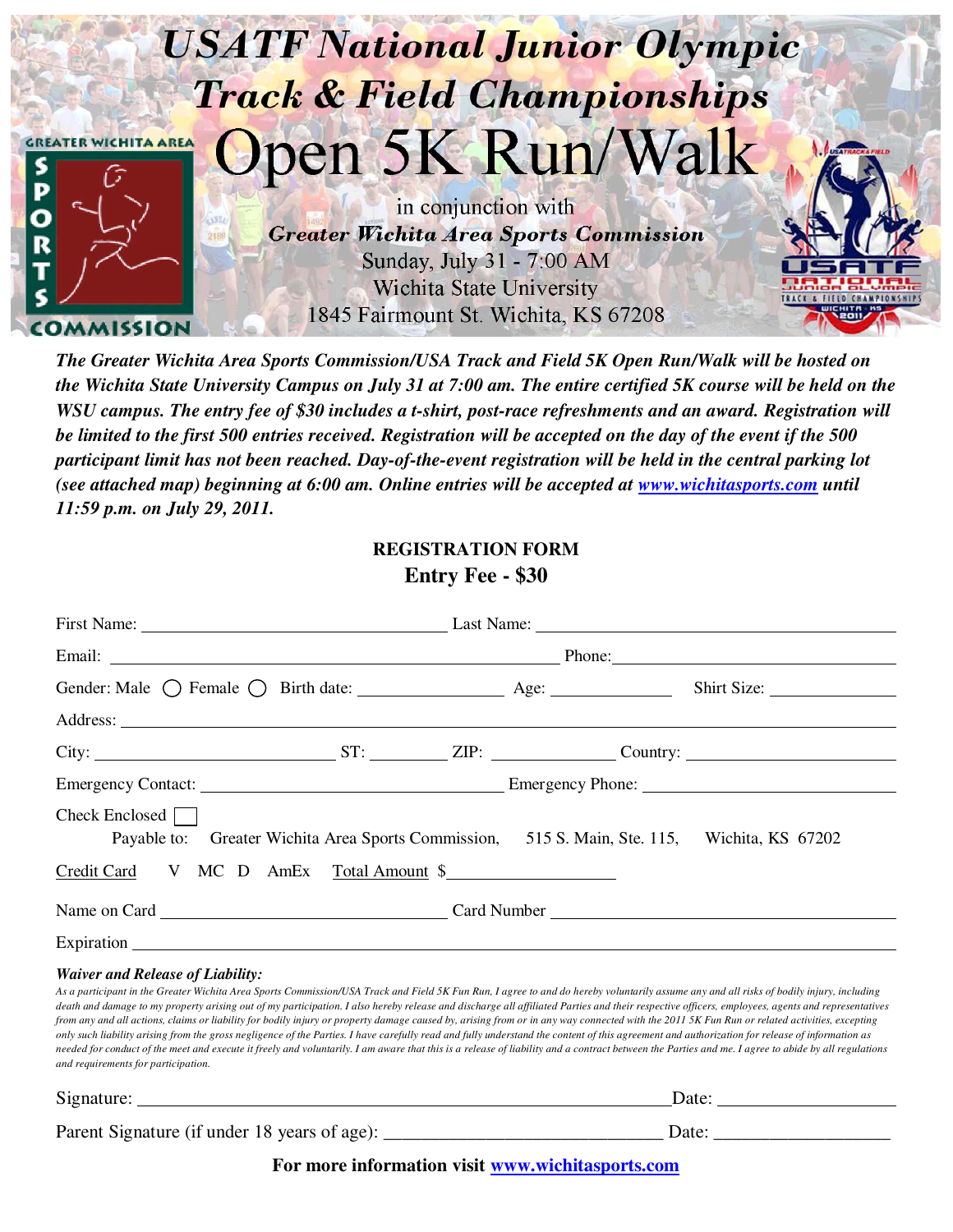

*The Greater Wichita Area Sports Commission/USA Track and Field 5K Open Run/Walk will be hosted on the Wichita State University Campus on July 31 at 7:00 am. The entire certified 5K course will be held on the WSU campus. The entry fee of \$30 includes a t-shirt, post-race refreshments and an award. Registration will be limited to the first 500 entries received. Registration will be accepted on the day of the event if the 500 participant limit has not been reached. Day-of-the-event registration will be held in the central parking lot (see attached map) beginning at 6:00 am. Online entries will be accepted at www.wichitasports.com until 11:59 p.m. on July 29, 2011.*

## **REGISTRATION FORM**

## **Entry Fee - \$30**

|                                                                                                                                                                                                                                | First Name: Last Name: Last Name: Last Name: |  |  |  |
|--------------------------------------------------------------------------------------------------------------------------------------------------------------------------------------------------------------------------------|----------------------------------------------|--|--|--|
| Email: Phone: Phone: Phone: Phone: Phone: Phone: Phone: Phone: Phone: Phone: Phone: Phone: Phone: Phone: Phone: Phone: Phone: Phone: Phone: Phone: Phone: Phone: Phone: Phone: Phone: Phone: Phone: Phone: Phone: Phone: Phone |                                              |  |  |  |
| Gender: Male $\bigcirc$ Female $\bigcirc$ Birth date: $\qquad \qquad$ Age:                                                                                                                                                     |                                              |  |  |  |
|                                                                                                                                                                                                                                |                                              |  |  |  |
|                                                                                                                                                                                                                                |                                              |  |  |  |
|                                                                                                                                                                                                                                |                                              |  |  |  |
| Check Enclosed    <br>Payable to: Greater Wichita Area Sports Commission, 515 S. Main, Ste. 115, Wichita, KS 67202                                                                                                             |                                              |  |  |  |
| Credit Card V MC D AmEx Total Amount \$                                                                                                                                                                                        |                                              |  |  |  |
|                                                                                                                                                                                                                                |                                              |  |  |  |
| Expiration Expiration                                                                                                                                                                                                          |                                              |  |  |  |
| <b>Waiver and Release of Liability:</b>                                                                                                                                                                                        |                                              |  |  |  |

*As a participant in the Greater Wichita Area Sports Commission/USA Track and Field 5K Fun Run, I agree to and do hereby voluntarily assume any and all risks of bodily injury, including*  death and damage to my property arising out of my participation. I also hereby release and discharge all affiliated Parties and their respective officers, employees, agents and representatives *from any and all actions, claims or liability for bodily injury or property damage caused by, arising from or in any way connected with the 2011 5K Fun Run or related activities, excepting only such liability arising from the gross negligence of the Parties. I have carefully read and fully understand the content of this agreement and authorization for release of information as needed for conduct of the meet and execute it freely and voluntarily. I am aware that this is a release of liability and a contract between the Parties and me. I agree to abide by all regulations and requirements for participation.*

Signature: Date: Date: Date: Date: Date: Date: Date: Date: Date: Date: Date: Date: Date: Date: Date: Date: Date: Date: Date: Date: Date: Date: Date: Date: Date: Date: Date: Date: Date: Date: Date: Date: Date: Date: Date: D Parent Signature (if under 18 years of age): \_\_\_\_\_\_\_\_\_\_\_\_\_\_\_\_\_\_\_\_\_\_\_\_\_\_\_\_\_\_ Date: \_\_\_\_\_\_\_\_\_\_\_\_\_\_\_\_\_\_\_

**For more information visit www.wichitasports.com**